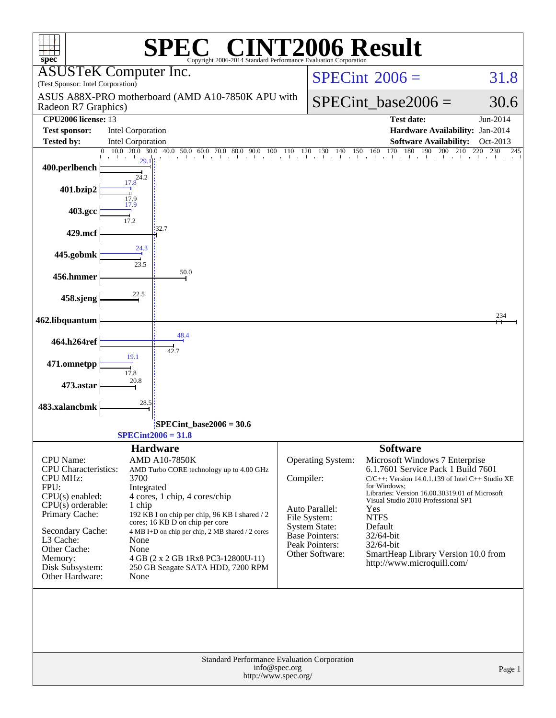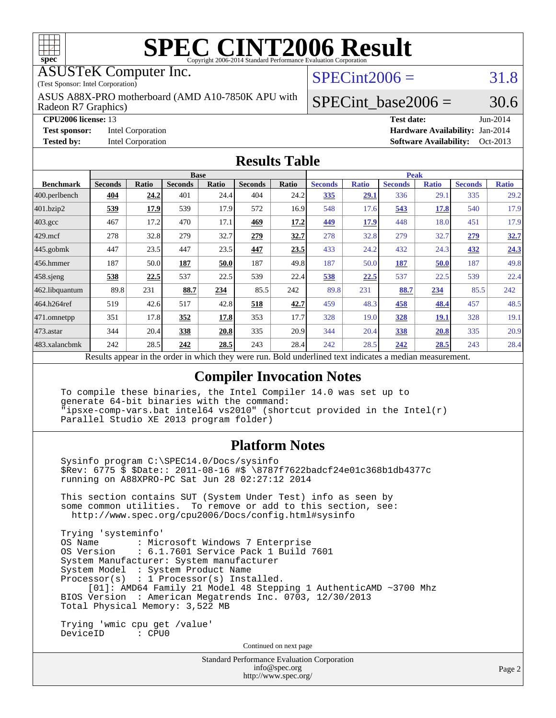

ASUSTeK Computer Inc.

(Test Sponsor: Intel Corporation)

Radeon R7 Graphics) ASUS A88X-PRO motherboard (AMD A10-7850K APU with  $SPECint2006 = 31.8$  $SPECint2006 = 31.8$ 

**[Tested by:](http://www.spec.org/auto/cpu2006/Docs/result-fields.html#Testedby)** Intel Corporation **[Software Availability:](http://www.spec.org/auto/cpu2006/Docs/result-fields.html#SoftwareAvailability)** Oct-2013

**[CPU2006 license:](http://www.spec.org/auto/cpu2006/Docs/result-fields.html#CPU2006license)** 13 **[Test date:](http://www.spec.org/auto/cpu2006/Docs/result-fields.html#Testdate)** Jun-2014 **[Test sponsor:](http://www.spec.org/auto/cpu2006/Docs/result-fields.html#Testsponsor)** Intel Corporation **[Hardware Availability:](http://www.spec.org/auto/cpu2006/Docs/result-fields.html#HardwareAvailability)** Jan-2014

SPECint base2006 =  $30.6$ 

#### **[Results Table](http://www.spec.org/auto/cpu2006/Docs/result-fields.html#ResultsTable)**

|                                                                                                        | <b>Base</b>    |              |                |       | <b>Peak</b>    |       |                |              |                |              |                |              |
|--------------------------------------------------------------------------------------------------------|----------------|--------------|----------------|-------|----------------|-------|----------------|--------------|----------------|--------------|----------------|--------------|
| <b>Benchmark</b>                                                                                       | <b>Seconds</b> | <b>Ratio</b> | <b>Seconds</b> | Ratio | <b>Seconds</b> | Ratio | <b>Seconds</b> | <b>Ratio</b> | <b>Seconds</b> | <b>Ratio</b> | <b>Seconds</b> | <b>Ratio</b> |
| $ 400.\text{perlbench}$                                                                                | 404            | 24.2         | 401            | 24.4  | 404            | 24.2  | 335            | 29.1         | 336            | 29.1         | 335            | 29.2         |
| 401.bzip2                                                                                              | 539            | 17.9         | 539            | 17.9  | 572            | 16.9  | 548            | 17.6         | 543            | 17.8         | 540            | 17.9         |
| $403.\mathrm{gcc}$                                                                                     | 467            | 17.2         | 470            | 17.1  | 469            | 17.2  | 449            | <u>17.9</u>  | 448            | 18.0         | 451            | 17.9         |
| $429$ .mcf                                                                                             | 278            | 32.8         | 279            | 32.7  | 279            | 32.7  | 278            | 32.8         | 279            | 32.7         | 279            | 32.7         |
| $445$ .gobmk                                                                                           | 447            | 23.5         | 447            | 23.5  | 447            | 23.5  | 433            | 24.2         | 432            | 24.3         | 432            | 24.3         |
| $456.$ hmmer                                                                                           | 187            | 50.0         | 187            | 50.0  | 187            | 49.8  | 187            | 50.0         | 187            | 50.0         | 187            | 49.8         |
| 458 sjeng                                                                                              | 538            | 22.5         | 537            | 22.5  | 539            | 22.4  | 538            | 22.5         | 537            | 22.5         | 539            | 22.4         |
| 462.libquantum                                                                                         | 89.8           | 231          | 88.7           | 234   | 85.5           | 242   | 89.8           | 231          | 88.7           | 234          | 85.5           | 242          |
| 464.h264ref                                                                                            | 519            | 42.6         | 517            | 42.8  | 518            | 42.7  | 459            | 48.3         | 458            | 48.4         | 457            | 48.5         |
| 471.omnetpp                                                                                            | 351            | 17.8         | 352            | 17.8  | 353            | 17.7  | 328            | 19.0         | <b>328</b>     | <u>19.1</u>  | 328            | 19.1         |
| $473$ . astar                                                                                          | 344            | 20.4         | 338            | 20.8  | 335            | 20.9  | 344            | 20.4         | 338            | 20.8         | 335            | 20.9         |
| 483.xalancbmk                                                                                          | 242            | 28.5         | 242            | 28.5  | 243            | 28.4  | 242            | 28.5         | 242            | 28.5         | 243            | 28.4         |
| Describe encourage in the conduction withink these weeks more<br>Dald an dealined test in diestra a no |                |              |                |       |                |       |                |              |                |              |                |              |

Results appear in the [order in which they were run.](http://www.spec.org/auto/cpu2006/Docs/result-fields.html#RunOrder) Bold underlined text [indicates a median measurement.](http://www.spec.org/auto/cpu2006/Docs/result-fields.html#Median)

#### **[Compiler Invocation Notes](http://www.spec.org/auto/cpu2006/Docs/result-fields.html#CompilerInvocationNotes)**

 To compile these binaries, the Intel Compiler 14.0 was set up to generate 64-bit binaries with the command: "ipsxe-comp-vars.bat intel64 vs2010" (shortcut provided in the Intel(r) Parallel Studio XE 2013 program folder)

#### **[Platform Notes](http://www.spec.org/auto/cpu2006/Docs/result-fields.html#PlatformNotes)**

 Sysinfo program C:\SPEC14.0/Docs/sysinfo \$Rev: 6775 \$ \$Date:: 2011-08-16 #\$ \8787f7622badcf24e01c368b1db4377c running on A88XPRO-PC Sat Jun 28 02:27:12 2014 This section contains SUT (System Under Test) info as seen by

 some common utilities. To remove or add to this section, see: <http://www.spec.org/cpu2006/Docs/config.html#sysinfo>

 Trying 'systeminfo' : Microsoft Windows 7 Enterprise OS Version : 6.1.7601 Service Pack 1 Build 7601 System Manufacturer: System manufacturer System Model : System Product Name Processor(s) : 1 Processor(s) Installed. [01]: AMD64 Family 21 Model 48 Stepping 1 AuthenticAMD ~3700 Mhz BIOS Version : American Megatrends Inc. 0703, 12/30/2013 Total Physical Memory: 3,522 MB

 Trying 'wmic cpu get /value' DeviceID : CPU0

Continued on next page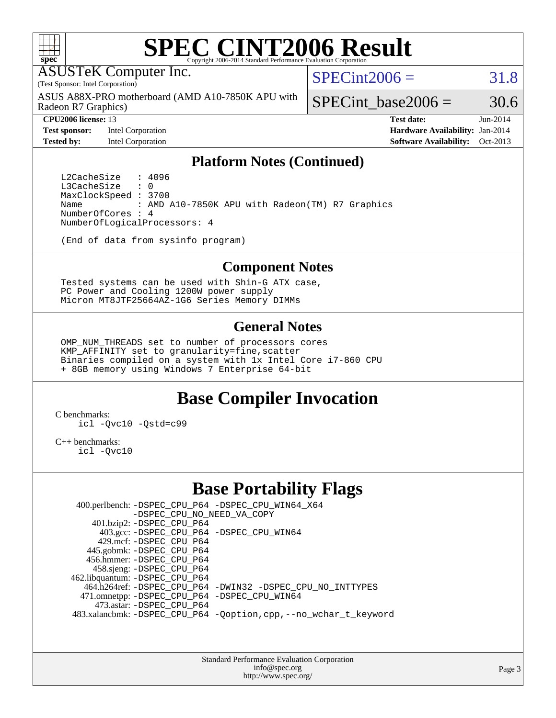

ASUSTeK Computer Inc.

(Test Sponsor: Intel Corporation)

Radeon R7 Graphics) ASUS A88X-PRO motherboard (AMD A10-7850K APU with  $SPECint2006 = 31.8$  $SPECint2006 = 31.8$ 

**[Test sponsor:](http://www.spec.org/auto/cpu2006/Docs/result-fields.html#Testsponsor)** Intel Corporation **[Hardware Availability:](http://www.spec.org/auto/cpu2006/Docs/result-fields.html#HardwareAvailability)** Jan-2014

SPECint base2006 =  $30.6$ 

**[CPU2006 license:](http://www.spec.org/auto/cpu2006/Docs/result-fields.html#CPU2006license)** 13 **[Test date:](http://www.spec.org/auto/cpu2006/Docs/result-fields.html#Testdate)** Jun-2014 **[Tested by:](http://www.spec.org/auto/cpu2006/Docs/result-fields.html#Testedby)** Intel Corporation **[Software Availability:](http://www.spec.org/auto/cpu2006/Docs/result-fields.html#SoftwareAvailability)** Oct-2013

### **[Platform Notes \(Continued\)](http://www.spec.org/auto/cpu2006/Docs/result-fields.html#PlatformNotes)**

L2CacheSize : 4096<br>L3CacheSize : 0 L3CacheSize MaxClockSpeed : 3700 Name : AMD A10-7850K APU with Radeon(TM) R7 Graphics NumberOfCores : 4 NumberOfLogicalProcessors: 4

(End of data from sysinfo program)

#### **[Component Notes](http://www.spec.org/auto/cpu2006/Docs/result-fields.html#ComponentNotes)**

 Tested systems can be used with Shin-G ATX case, PC Power and Cooling 1200W power supply Micron MT8JTF25664AZ-1G6 Series Memory DIMMs

#### **[General Notes](http://www.spec.org/auto/cpu2006/Docs/result-fields.html#GeneralNotes)**

 OMP\_NUM\_THREADS set to number of processors cores KMP AFFINITY set to granularity=fine, scatter Binaries compiled on a system with 1x Intel Core i7-860 CPU + 8GB memory using Windows 7 Enterprise 64-bit

## **[Base Compiler Invocation](http://www.spec.org/auto/cpu2006/Docs/result-fields.html#BaseCompilerInvocation)**

[C benchmarks](http://www.spec.org/auto/cpu2006/Docs/result-fields.html#Cbenchmarks):

[icl -Qvc10](http://www.spec.org/cpu2006/results/res2014q3/cpu2006-20140630-30114.flags.html#user_CCbase_intel_icc_vc10_9607f3ecbcdf68042245f068e51b40c1) [-Qstd=c99](http://www.spec.org/cpu2006/results/res2014q3/cpu2006-20140630-30114.flags.html#user_CCbase_intel_compiler_c99_mode_1a3d110e3041b3ad4466830521bdad2a)

[C++ benchmarks:](http://www.spec.org/auto/cpu2006/Docs/result-fields.html#CXXbenchmarks)

[icl -Qvc10](http://www.spec.org/cpu2006/results/res2014q3/cpu2006-20140630-30114.flags.html#user_CXXbase_intel_icc_vc10_9607f3ecbcdf68042245f068e51b40c1)

## **[Base Portability Flags](http://www.spec.org/auto/cpu2006/Docs/result-fields.html#BasePortabilityFlags)**

 400.perlbench: [-DSPEC\\_CPU\\_P64](http://www.spec.org/cpu2006/results/res2014q3/cpu2006-20140630-30114.flags.html#b400.perlbench_basePORTABILITY_DSPEC_CPU_P64) [-DSPEC\\_CPU\\_WIN64\\_X64](http://www.spec.org/cpu2006/results/res2014q3/cpu2006-20140630-30114.flags.html#b400.perlbench_baseCPORTABILITY_DSPEC_CPU_WIN64_X64) [-DSPEC\\_CPU\\_NO\\_NEED\\_VA\\_COPY](http://www.spec.org/cpu2006/results/res2014q3/cpu2006-20140630-30114.flags.html#b400.perlbench_baseCPORTABILITY_DSPEC_CPU_NO_NEED_VA_COPY) 401.bzip2: [-DSPEC\\_CPU\\_P64](http://www.spec.org/cpu2006/results/res2014q3/cpu2006-20140630-30114.flags.html#suite_basePORTABILITY401_bzip2_DSPEC_CPU_P64) 403.gcc: [-DSPEC\\_CPU\\_P64](http://www.spec.org/cpu2006/results/res2014q3/cpu2006-20140630-30114.flags.html#suite_basePORTABILITY403_gcc_DSPEC_CPU_P64) [-DSPEC\\_CPU\\_WIN64](http://www.spec.org/cpu2006/results/res2014q3/cpu2006-20140630-30114.flags.html#b403.gcc_baseCPORTABILITY_DSPEC_CPU_WIN64) 429.mcf: [-DSPEC\\_CPU\\_P64](http://www.spec.org/cpu2006/results/res2014q3/cpu2006-20140630-30114.flags.html#suite_basePORTABILITY429_mcf_DSPEC_CPU_P64) 445.gobmk: [-DSPEC\\_CPU\\_P64](http://www.spec.org/cpu2006/results/res2014q3/cpu2006-20140630-30114.flags.html#suite_basePORTABILITY445_gobmk_DSPEC_CPU_P64) 456.hmmer: [-DSPEC\\_CPU\\_P64](http://www.spec.org/cpu2006/results/res2014q3/cpu2006-20140630-30114.flags.html#suite_basePORTABILITY456_hmmer_DSPEC_CPU_P64) 458.sjeng: [-DSPEC\\_CPU\\_P64](http://www.spec.org/cpu2006/results/res2014q3/cpu2006-20140630-30114.flags.html#suite_basePORTABILITY458_sjeng_DSPEC_CPU_P64) 462.libquantum: [-DSPEC\\_CPU\\_P64](http://www.spec.org/cpu2006/results/res2014q3/cpu2006-20140630-30114.flags.html#suite_basePORTABILITY462_libquantum_DSPEC_CPU_P64) 464.h264ref: [-DSPEC\\_CPU\\_P64](http://www.spec.org/cpu2006/results/res2014q3/cpu2006-20140630-30114.flags.html#suite_basePORTABILITY464_h264ref_DSPEC_CPU_P64) [-DWIN32](http://www.spec.org/cpu2006/results/res2014q3/cpu2006-20140630-30114.flags.html#b464.h264ref_baseCPORTABILITY_DWIN32) [-DSPEC\\_CPU\\_NO\\_INTTYPES](http://www.spec.org/cpu2006/results/res2014q3/cpu2006-20140630-30114.flags.html#b464.h264ref_baseCPORTABILITY_DSPEC_CPU_NO_INTTYPES) 471.omnetpp: [-DSPEC\\_CPU\\_P64](http://www.spec.org/cpu2006/results/res2014q3/cpu2006-20140630-30114.flags.html#suite_basePORTABILITY471_omnetpp_DSPEC_CPU_P64) [-DSPEC\\_CPU\\_WIN64](http://www.spec.org/cpu2006/results/res2014q3/cpu2006-20140630-30114.flags.html#b471.omnetpp_baseCXXPORTABILITY_DSPEC_CPU_WIN64) 473.astar: [-DSPEC\\_CPU\\_P64](http://www.spec.org/cpu2006/results/res2014q3/cpu2006-20140630-30114.flags.html#suite_basePORTABILITY473_astar_DSPEC_CPU_P64) 483.xalancbmk: [-DSPEC\\_CPU\\_P64](http://www.spec.org/cpu2006/results/res2014q3/cpu2006-20140630-30114.flags.html#suite_basePORTABILITY483_xalancbmk_DSPEC_CPU_P64) [-Qoption,cpp,--no\\_wchar\\_t\\_keyword](http://www.spec.org/cpu2006/results/res2014q3/cpu2006-20140630-30114.flags.html#user_baseCXXPORTABILITY483_xalancbmk_f-no_wchar_t_keyword_ec0ad4495a16b4e858bfcb29d949d25d)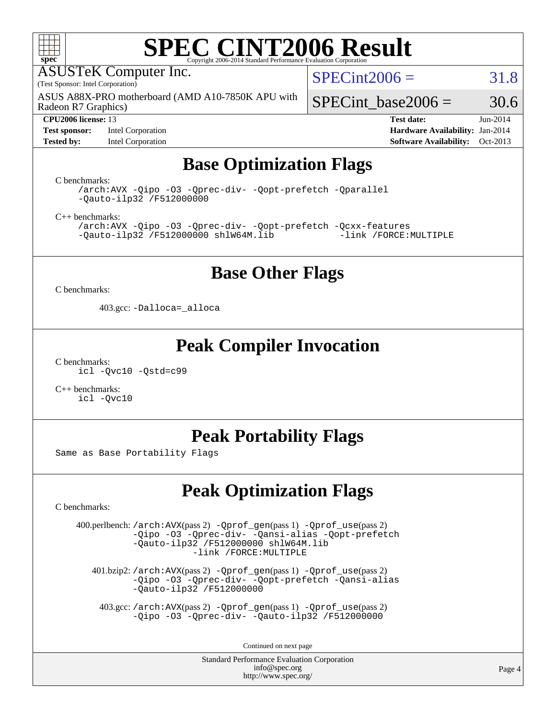

ASUSTeK Computer Inc.

(Test Sponsor: Intel Corporation)

Radeon R7 Graphics) ASUS A88X-PRO motherboard (AMD A10-7850K APU with  $SPECint2006 = 31.8$  $SPECint2006 = 31.8$ 

**[Test sponsor:](http://www.spec.org/auto/cpu2006/Docs/result-fields.html#Testsponsor)** Intel Corporation **[Hardware Availability:](http://www.spec.org/auto/cpu2006/Docs/result-fields.html#HardwareAvailability)** Jan-2014

SPECint base2006 =  $30.6$ **[CPU2006 license:](http://www.spec.org/auto/cpu2006/Docs/result-fields.html#CPU2006license)** 13 **[Test date:](http://www.spec.org/auto/cpu2006/Docs/result-fields.html#Testdate)** Jun-2014

**[Tested by:](http://www.spec.org/auto/cpu2006/Docs/result-fields.html#Testedby)** Intel Corporation **[Software Availability:](http://www.spec.org/auto/cpu2006/Docs/result-fields.html#SoftwareAvailability)** Oct-2013

## **[Base Optimization Flags](http://www.spec.org/auto/cpu2006/Docs/result-fields.html#BaseOptimizationFlags)**

[C benchmarks](http://www.spec.org/auto/cpu2006/Docs/result-fields.html#Cbenchmarks):

[/arch:AVX](http://www.spec.org/cpu2006/results/res2014q3/cpu2006-20140630-30114.flags.html#user_CCbase_f-archAVX_e8ab52e15dc7c67e0682fc680b79ed94) [-Qipo](http://www.spec.org/cpu2006/results/res2014q3/cpu2006-20140630-30114.flags.html#user_CCbase_f-Qipo) [-O3](http://www.spec.org/cpu2006/results/res2014q3/cpu2006-20140630-30114.flags.html#user_CCbase_f-O3) [-Qprec-div-](http://www.spec.org/cpu2006/results/res2014q3/cpu2006-20140630-30114.flags.html#user_CCbase_f-Qprec-div-) [-Qopt-prefetch](http://www.spec.org/cpu2006/results/res2014q3/cpu2006-20140630-30114.flags.html#user_CCbase_f-Qprefetch_37c211608666b9dff9380561f602f0a8) [-Qparallel](http://www.spec.org/cpu2006/results/res2014q3/cpu2006-20140630-30114.flags.html#user_CCbase_f-Qparallel) [-Qauto-ilp32](http://www.spec.org/cpu2006/results/res2014q3/cpu2006-20140630-30114.flags.html#user_CCbase_f-Qauto-ilp32) [/F512000000](http://www.spec.org/cpu2006/results/res2014q3/cpu2006-20140630-30114.flags.html#user_CCbase_set_stack_space_98438a10eb60aa5f35f4c79d9b9b27b1)

[C++ benchmarks:](http://www.spec.org/auto/cpu2006/Docs/result-fields.html#CXXbenchmarks)

[/arch:AVX](http://www.spec.org/cpu2006/results/res2014q3/cpu2006-20140630-30114.flags.html#user_CXXbase_f-archAVX_e8ab52e15dc7c67e0682fc680b79ed94) [-Qipo](http://www.spec.org/cpu2006/results/res2014q3/cpu2006-20140630-30114.flags.html#user_CXXbase_f-Qipo) [-O3](http://www.spec.org/cpu2006/results/res2014q3/cpu2006-20140630-30114.flags.html#user_CXXbase_f-O3) [-Qprec-div-](http://www.spec.org/cpu2006/results/res2014q3/cpu2006-20140630-30114.flags.html#user_CXXbase_f-Qprec-div-) [-Qopt-prefetch](http://www.spec.org/cpu2006/results/res2014q3/cpu2006-20140630-30114.flags.html#user_CXXbase_f-Qprefetch_37c211608666b9dff9380561f602f0a8) [-Qcxx-features](http://www.spec.org/cpu2006/results/res2014q3/cpu2006-20140630-30114.flags.html#user_CXXbase_f-Qcxx_features_dbf36c8a6dba956e22f1645e4dcd4d98)  $-Qauto-ilp32$  [/F512000000](http://www.spec.org/cpu2006/results/res2014q3/cpu2006-20140630-30114.flags.html#user_CXXbase_set_stack_space_98438a10eb60aa5f35f4c79d9b9b27b1) [shlW64M.lib](http://www.spec.org/cpu2006/results/res2014q3/cpu2006-20140630-30114.flags.html#user_CXXbase_SmartHeap64_c4f7f76711bdf8c0633a5c1edf6e5396)

## **[Base Other Flags](http://www.spec.org/auto/cpu2006/Docs/result-fields.html#BaseOtherFlags)**

[C benchmarks](http://www.spec.org/auto/cpu2006/Docs/result-fields.html#Cbenchmarks):

403.gcc: [-Dalloca=\\_alloca](http://www.spec.org/cpu2006/results/res2014q3/cpu2006-20140630-30114.flags.html#b403.gcc_baseEXTRA_CFLAGS_Dalloca_be3056838c12de2578596ca5467af7f3)

## **[Peak Compiler Invocation](http://www.spec.org/auto/cpu2006/Docs/result-fields.html#PeakCompilerInvocation)**

[C benchmarks](http://www.spec.org/auto/cpu2006/Docs/result-fields.html#Cbenchmarks): [icl -Qvc10](http://www.spec.org/cpu2006/results/res2014q3/cpu2006-20140630-30114.flags.html#user_CCpeak_intel_icc_vc10_9607f3ecbcdf68042245f068e51b40c1) [-Qstd=c99](http://www.spec.org/cpu2006/results/res2014q3/cpu2006-20140630-30114.flags.html#user_CCpeak_intel_compiler_c99_mode_1a3d110e3041b3ad4466830521bdad2a)

[C++ benchmarks:](http://www.spec.org/auto/cpu2006/Docs/result-fields.html#CXXbenchmarks) [icl -Qvc10](http://www.spec.org/cpu2006/results/res2014q3/cpu2006-20140630-30114.flags.html#user_CXXpeak_intel_icc_vc10_9607f3ecbcdf68042245f068e51b40c1)

# **[Peak Portability Flags](http://www.spec.org/auto/cpu2006/Docs/result-fields.html#PeakPortabilityFlags)**

Same as Base Portability Flags

# **[Peak Optimization Flags](http://www.spec.org/auto/cpu2006/Docs/result-fields.html#PeakOptimizationFlags)**

[C benchmarks](http://www.spec.org/auto/cpu2006/Docs/result-fields.html#Cbenchmarks):

 400.perlbench: [/arch:AVX](http://www.spec.org/cpu2006/results/res2014q3/cpu2006-20140630-30114.flags.html#user_peakPASS2_CFLAGSPASS2_LDFLAGS400_perlbench_f-archAVX_e8ab52e15dc7c67e0682fc680b79ed94)(pass 2) [-Qprof\\_gen](http://www.spec.org/cpu2006/results/res2014q3/cpu2006-20140630-30114.flags.html#user_peakPASS1_CFLAGSPASS1_LDFLAGS400_perlbench_Qprof_gen)(pass 1) [-Qprof\\_use](http://www.spec.org/cpu2006/results/res2014q3/cpu2006-20140630-30114.flags.html#user_peakPASS2_CFLAGSPASS2_LDFLAGS400_perlbench_Qprof_use)(pass 2) [-Qipo](http://www.spec.org/cpu2006/results/res2014q3/cpu2006-20140630-30114.flags.html#user_peakOPTIMIZE400_perlbench_f-Qipo) [-O3](http://www.spec.org/cpu2006/results/res2014q3/cpu2006-20140630-30114.flags.html#user_peakOPTIMIZE400_perlbench_f-O3) [-Qprec-div-](http://www.spec.org/cpu2006/results/res2014q3/cpu2006-20140630-30114.flags.html#user_peakOPTIMIZE400_perlbench_f-Qprec-div-) [-Qansi-alias](http://www.spec.org/cpu2006/results/res2014q3/cpu2006-20140630-30114.flags.html#user_peakOPTIMIZE400_perlbench_f-Qansi-alias) [-Qopt-prefetch](http://www.spec.org/cpu2006/results/res2014q3/cpu2006-20140630-30114.flags.html#user_peakOPTIMIZE400_perlbench_f-Qprefetch_37c211608666b9dff9380561f602f0a8) [-Qauto-ilp32](http://www.spec.org/cpu2006/results/res2014q3/cpu2006-20140630-30114.flags.html#user_peakCOPTIMIZE400_perlbench_f-Qauto-ilp32) [/F512000000](http://www.spec.org/cpu2006/results/res2014q3/cpu2006-20140630-30114.flags.html#user_peakEXTRA_LDFLAGS400_perlbench_set_stack_space_98438a10eb60aa5f35f4c79d9b9b27b1) [shlW64M.lib](http://www.spec.org/cpu2006/results/res2014q3/cpu2006-20140630-30114.flags.html#user_peakEXTRA_LIBS400_perlbench_SmartHeap64_c4f7f76711bdf8c0633a5c1edf6e5396)  [-link /FORCE:MULTIPLE](http://www.spec.org/cpu2006/results/res2014q3/cpu2006-20140630-30114.flags.html#user_peakLDOUT400_perlbench_link_force_multiple2_070fe330869edf77077b841074b8b0b6)

 401.bzip2: [/arch:AVX](http://www.spec.org/cpu2006/results/res2014q3/cpu2006-20140630-30114.flags.html#user_peakPASS2_CFLAGSPASS2_LDFLAGS401_bzip2_f-archAVX_e8ab52e15dc7c67e0682fc680b79ed94)(pass 2) [-Qprof\\_gen](http://www.spec.org/cpu2006/results/res2014q3/cpu2006-20140630-30114.flags.html#user_peakPASS1_CFLAGSPASS1_LDFLAGS401_bzip2_Qprof_gen)(pass 1) [-Qprof\\_use](http://www.spec.org/cpu2006/results/res2014q3/cpu2006-20140630-30114.flags.html#user_peakPASS2_CFLAGSPASS2_LDFLAGS401_bzip2_Qprof_use)(pass 2) [-Qipo](http://www.spec.org/cpu2006/results/res2014q3/cpu2006-20140630-30114.flags.html#user_peakOPTIMIZE401_bzip2_f-Qipo) [-O3](http://www.spec.org/cpu2006/results/res2014q3/cpu2006-20140630-30114.flags.html#user_peakOPTIMIZE401_bzip2_f-O3) [-Qprec-div-](http://www.spec.org/cpu2006/results/res2014q3/cpu2006-20140630-30114.flags.html#user_peakOPTIMIZE401_bzip2_f-Qprec-div-) [-Qopt-prefetch](http://www.spec.org/cpu2006/results/res2014q3/cpu2006-20140630-30114.flags.html#user_peakOPTIMIZE401_bzip2_f-Qprefetch_37c211608666b9dff9380561f602f0a8) [-Qansi-alias](http://www.spec.org/cpu2006/results/res2014q3/cpu2006-20140630-30114.flags.html#user_peakOPTIMIZE401_bzip2_f-Qansi-alias) [-Qauto-ilp32](http://www.spec.org/cpu2006/results/res2014q3/cpu2006-20140630-30114.flags.html#user_peakCOPTIMIZE401_bzip2_f-Qauto-ilp32) [/F512000000](http://www.spec.org/cpu2006/results/res2014q3/cpu2006-20140630-30114.flags.html#user_peakEXTRA_LDFLAGS401_bzip2_set_stack_space_98438a10eb60aa5f35f4c79d9b9b27b1)

 403.gcc: [/arch:AVX](http://www.spec.org/cpu2006/results/res2014q3/cpu2006-20140630-30114.flags.html#user_peakPASS2_CFLAGSPASS2_LDFLAGS403_gcc_f-archAVX_e8ab52e15dc7c67e0682fc680b79ed94)(pass 2) [-Qprof\\_gen](http://www.spec.org/cpu2006/results/res2014q3/cpu2006-20140630-30114.flags.html#user_peakPASS1_CFLAGSPASS1_LDFLAGS403_gcc_Qprof_gen)(pass 1) [-Qprof\\_use](http://www.spec.org/cpu2006/results/res2014q3/cpu2006-20140630-30114.flags.html#user_peakPASS2_CFLAGSPASS2_LDFLAGS403_gcc_Qprof_use)(pass 2) [-Qipo](http://www.spec.org/cpu2006/results/res2014q3/cpu2006-20140630-30114.flags.html#user_peakOPTIMIZE403_gcc_f-Qipo) [-O3](http://www.spec.org/cpu2006/results/res2014q3/cpu2006-20140630-30114.flags.html#user_peakOPTIMIZE403_gcc_f-O3) [-Qprec-div-](http://www.spec.org/cpu2006/results/res2014q3/cpu2006-20140630-30114.flags.html#user_peakOPTIMIZE403_gcc_f-Qprec-div-) [-Qauto-ilp32](http://www.spec.org/cpu2006/results/res2014q3/cpu2006-20140630-30114.flags.html#user_peakCOPTIMIZE403_gcc_f-Qauto-ilp32) [/F512000000](http://www.spec.org/cpu2006/results/res2014q3/cpu2006-20140630-30114.flags.html#user_peakEXTRA_LDFLAGS403_gcc_set_stack_space_98438a10eb60aa5f35f4c79d9b9b27b1)

Continued on next page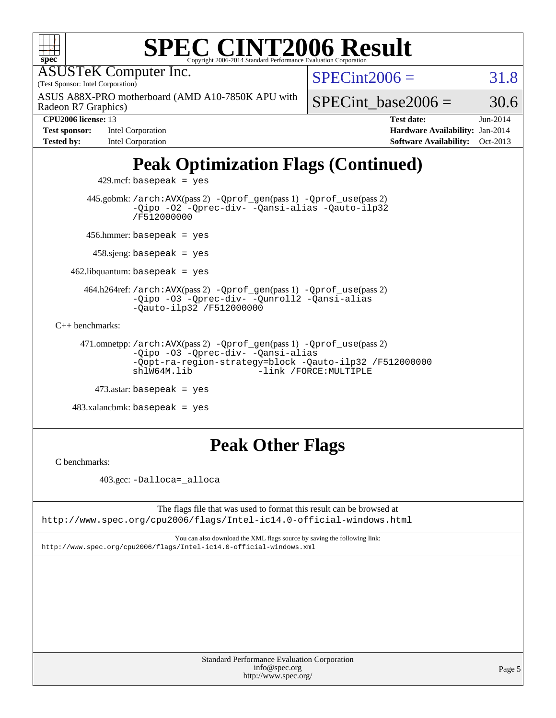| <b>SPEC CINT2006 Result</b>                                                                                                                                                             |                                                                                                                 |
|-----------------------------------------------------------------------------------------------------------------------------------------------------------------------------------------|-----------------------------------------------------------------------------------------------------------------|
| Copyright 2006-2014 Standard Performance Evaluation Corporation<br>$spec^*$<br><b>ASUSTeK Computer Inc.</b><br>(Test Sponsor: Intel Corporation)                                        | $SPECint2006 =$<br>31.8                                                                                         |
| ASUS A88X-PRO motherboard (AMD A10-7850K APU with<br>Radeon R7 Graphics)                                                                                                                | SPECint base2006 $=$<br>30.6                                                                                    |
| CPU2006 license: 13<br>Intel Corporation<br><b>Test sponsor:</b><br>Intel Corporation<br><b>Tested by:</b>                                                                              | $Jun-2014$<br><b>Test date:</b><br>Hardware Availability: Jan-2014<br><b>Software Availability:</b><br>Oct-2013 |
| <b>Peak Optimization Flags (Continued)</b>                                                                                                                                              |                                                                                                                 |
| 429.mcf: basepeak = $yes$                                                                                                                                                               |                                                                                                                 |
| 445.gobmk: /arch: AVX(pass 2) - Qprof_gen(pass 1) - Qprof_use(pass 2)<br>-Qipo -02 -Qprec-div- -Qansi-alias -Qauto-ilp32<br>/F512000000                                                 |                                                                                                                 |
| $456.$ hmmer: basepeak = yes                                                                                                                                                            |                                                                                                                 |
| $458 \text{.}$ sjeng: basepeak = yes                                                                                                                                                    |                                                                                                                 |
| $462$ .libquantum: basepeak = yes                                                                                                                                                       |                                                                                                                 |
| 464.h264ref: /arch: AVX(pass 2) - Qprof_gen(pass 1) - Qprof_use(pass 2)<br>-Qipo -03 -Qprec-div- -Qunroll2 -Qansi-alias<br>-Qauto-ilp32 /F512000000                                     |                                                                                                                 |
| $C_{++}$ benchmarks:                                                                                                                                                                    |                                                                                                                 |
| 471.omnetpp://arch:AVX(pass 2) -Qprof_gen(pass 1) -Qprof_use(pass 2)<br>-Qipo -03 -Qprec-div- -Qansi-alias<br>-Qopt-ra-region-strategy=block -Qauto-ilp32 /F512000000<br>$sh1W64M.1$ ib | -link /FORCE: MULTIPLE                                                                                          |
| $473$ .astar: basepeak = yes                                                                                                                                                            |                                                                                                                 |
| $483.xalanchmk: basepeak = yes$                                                                                                                                                         |                                                                                                                 |
| <b>Peak Other Flags</b><br>C benchmarks:                                                                                                                                                |                                                                                                                 |

403.gcc: [-Dalloca=\\_alloca](http://www.spec.org/cpu2006/results/res2014q3/cpu2006-20140630-30114.flags.html#b403.gcc_peakEXTRA_CFLAGS_Dalloca_be3056838c12de2578596ca5467af7f3)

The flags file that was used to format this result can be browsed at <http://www.spec.org/cpu2006/flags/Intel-ic14.0-official-windows.html>

You can also download the XML flags source by saving the following link: <http://www.spec.org/cpu2006/flags/Intel-ic14.0-official-windows.xml>